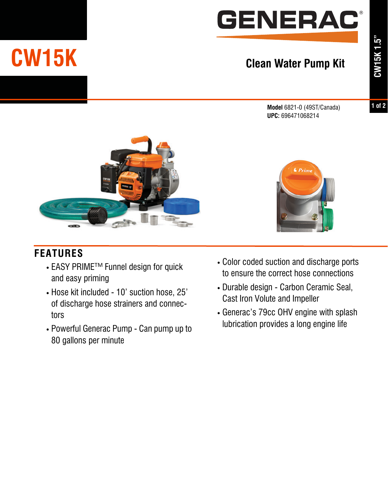

## **Clean Water Pump Kit**

**Model** 6821-0 (49ST/Canada) **UPC:** 696471068214

**1 of 2**



## **FEATURES**

**CW15K**

- **•** EASY PRIMETM Funnel design for quick and easy priming
- **•** Hose kit included 10' suction hose, 25' of discharge hose strainers and connectors
- **•** Powerful Generac Pump Can pump up to 80 gallons per minute



- **•** Color coded suction and discharge ports to ensure the correct hose connections
- **•** Durable design Carbon Ceramic Seal, Cast Iron Volute and Impeller
- **•** Generac's 79cc OHV engine with splash lubrication provides a long engine life